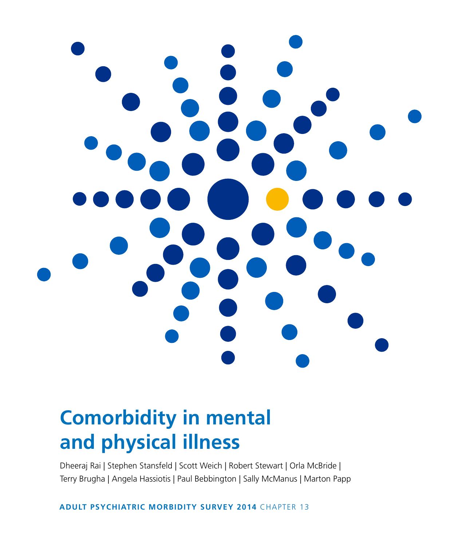

# **Comorbidity in mental and physical illness**

Dheeraj Rai | Stephen Stansfeld | Scott Weich | Robert Stewart | Orla McBride | Terry Brugha | Angela Hassiotis | Paul Bebbington | Sally McManus | Marton Papp

**ADULT PSYCHIATRIC MORBIDITY SURVEY 2014** CHAPTER 13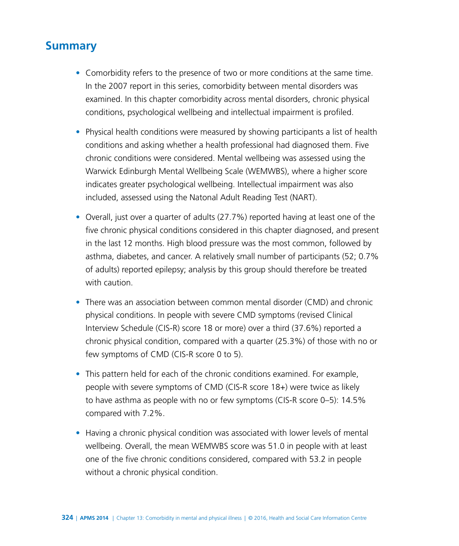# **Summary**

- Comorbidity refers to the presence of two or more conditions at the same time. In the 2007 report in this series, comorbidity between mental disorders was examined. In this chapter comorbidity across mental disorders, chronic physical conditions, psychological wellbeing and intellectual impairment is profiled.
- Physical health conditions were measured by showing participants a list of health conditions and asking whether a health professional had diagnosed them. Five chronic conditions were considered. Mental wellbeing was assessed using the Warwick Edinburgh Mental Wellbeing Scale (WEMWBS), where a higher score indicates greater psychological wellbeing. Intellectual impairment was also included, assessed using the Natonal Adult Reading Test (NART).
- Overall, just over a quarter of adults (27.7%) reported having at least one of the five chronic physical conditions considered in this chapter diagnosed, and present in the last 12 months. High blood pressure was the most common, followed by asthma, diabetes, and cancer. A relatively small number of participants (52; 0.7% of adults) reported epilepsy; analysis by this group should therefore be treated with caution.
- There was an association between common mental disorder (CMD) and chronic physical conditions. In people with severe CMD symptoms (revised Clinical Interview Schedule (CIS-R) score 18 or more) over a third (37.6%) reported a chronic physical condition, compared with a quarter (25.3%) of those with no or few symptoms of CMD (CIS-R score 0 to 5).
- This pattern held for each of the chronic conditions examined. For example, people with severe symptoms of CMD (CIS-R score 18+) were twice as likely to have asthma as people with no or few symptoms (CIS-R score 0–5): 14.5% compared with 7.2%.
- Having a chronic physical condition was associated with lower levels of mental wellbeing. Overall, the mean WEMWBS score was 51.0 in people with at least one of the five chronic conditions considered, compared with 53.2 in people without a chronic physical condition.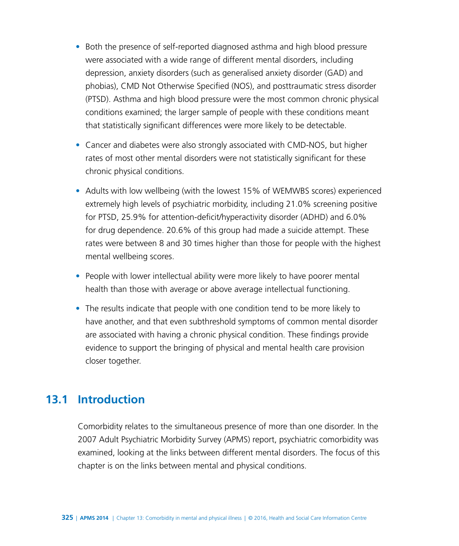- Both the presence of self-reported diagnosed asthma and high blood pressure were associated with a wide range of different mental disorders, including depression, anxiety disorders (such as generalised anxiety disorder (GAD) and phobias), CMD Not Otherwise Specified (NOS), and posttraumatic stress disorder (PTSD). Asthma and high blood pressure were the most common chronic physical conditions examined; the larger sample of people with these conditions meant that statistically significant differences were more likely to be detectable.
- Cancer and diabetes were also strongly associated with CMD-NOS, but higher rates of most other mental disorders were not statistically significant for these chronic physical conditions.
- Adults with low wellbeing (with the lowest 15% of WEMWBS scores) experienced extremely high levels of psychiatric morbidity, including 21.0% screening positive for PTSD, 25.9% for attention-deficit/hyperactivity disorder (ADHD) and 6.0% for drug dependence. 20.6% of this group had made a suicide attempt. These rates were between 8 and 30 times higher than those for people with the highest mental wellbeing scores.
- People with lower intellectual ability were more likely to have poorer mental health than those with average or above average intellectual functioning.
- The results indicate that people with one condition tend to be more likely to have another, and that even subthreshold symptoms of common mental disorder are associated with having a chronic physical condition. These findings provide evidence to support the bringing of physical and mental health care provision closer together.

# **13.1 Introduction**

Comorbidity relates to the simultaneous presence of more than one disorder. In the 2007 Adult Psychiatric Morbidity Survey (APMS) report, psychiatric comorbidity was examined, looking at the links between different mental disorders. The focus of this chapter is on the links between mental and physical conditions.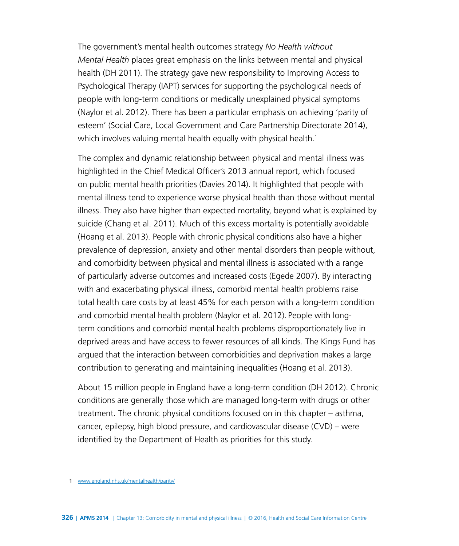The government's mental health outcomes strategy *No Health without Mental Health* places great emphasis on the links between mental and physical health (DH 2011). The strategy gave new responsibility to Improving Access to Psychological Therapy (IAPT) services for supporting the psychological needs of people with long-term conditions or medically unexplained physical symptoms (Naylor et al. 2012). There has been a particular emphasis on achieving 'parity of esteem' (Social Care, Local Government and Care Partnership Directorate 2014), which involves valuing mental health equally with physical health.<sup>1</sup>

The complex and dynamic relationship between physical and mental illness was highlighted in the Chief Medical Officer's 2013 annual report, which focused on public mental health priorities (Davies 2014). It highlighted that people with mental illness tend to experience worse physical health than those without mental illness. They also have higher than expected mortality, beyond what is explained by suicide (Chang et al. 2011). Much of this excess mortality is potentially avoidable (Hoang et al. 2013). People with chronic physical conditions also have a higher prevalence of depression, anxiety and other mental disorders than people without, and comorbidity between physical and mental illness is associated with a range of particularly adverse outcomes and increased costs (Egede 2007). By interacting with and exacerbating physical illness, comorbid mental health problems raise total health care costs by at least 45% for each person with a long-term condition and comorbid mental health problem (Naylor et al. 2012). People with longterm conditions and comorbid mental health problems disproportionately live in deprived areas and have access to fewer resources of all kinds. The Kings Fund has argued that the interaction between comorbidities and deprivation makes a large contribution to generating and maintaining inequalities (Hoang et al. 2013).

About 15 million people in England have a long-term condition (DH 2012). Chronic conditions are generally those which are managed long-term with drugs or other treatment. The chronic physical conditions focused on in this chapter – asthma, cancer, epilepsy, high blood pressure, and cardiovascular disease (CVD) – were identified by the Department of Health as priorities for this study.

**<sup>1</sup>** [www.england.nhs.uk/mentalhealth/parity/](https://www.england.nhs.uk/mentalhealth/parity/)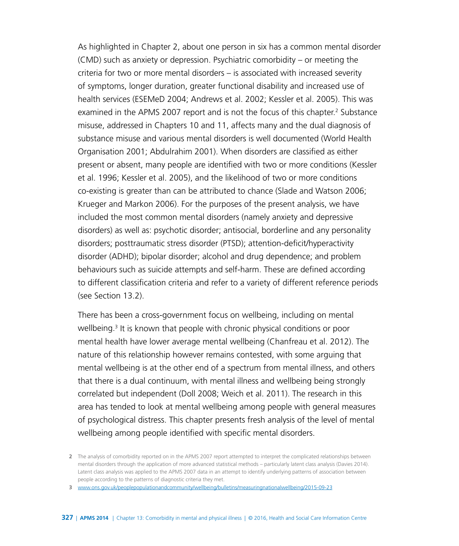As highlighted in Chapter 2, about one person in six has a common mental disorder (CMD) such as anxiety or depression. Psychiatric comorbidity – or meeting the criteria for two or more mental disorders – is associated with increased severity of symptoms, longer duration, greater functional disability and increased use of health services (ESEMeD 2004; Andrews et al. 2002; Kessler et al. 2005). This was examined in the APMS 2007 report and is not the focus of this chapter.<sup>2</sup> Substance misuse, addressed in Chapters 10 and 11, affects many and the dual diagnosis of substance misuse and various mental disorders is well documented (World Health Organisation 2001; Abdulrahim 2001). When disorders are classified as either present or absent, many people are identified with two or more conditions (Kessler et al. 1996; Kessler et al. 2005), and the likelihood of two or more conditions co-existing is greater than can be attributed to chance (Slade and Watson 2006; Krueger and Markon 2006). For the purposes of the present analysis, we have included the most common mental disorders (namely anxiety and depressive disorders) as well as: psychotic disorder; antisocial, borderline and any personality disorders; posttraumatic stress disorder (PTSD); attention-deficit/hyperactivity disorder (ADHD); bipolar disorder; alcohol and drug dependence; and problem behaviours such as suicide attempts and self-harm. These are defined according to different classification criteria and refer to a variety of different reference periods (see Section 13.2).

There has been a cross-government focus on wellbeing, including on mental wellbeing.<sup>3</sup> It is known that people with chronic physical conditions or poor mental health have lower average mental wellbeing (Chanfreau et al. 2012). The nature of this relationship however remains contested, with some arguing that mental wellbeing is at the other end of a spectrum from mental illness, and others that there is a dual continuum, with mental illness and wellbeing being strongly correlated but independent (Doll 2008; Weich et al. 2011). The research in this area has tended to look at mental wellbeing among people with general measures of psychological distress. This chapter presents fresh analysis of the level of mental wellbeing among people identified with specific mental disorders.

**<sup>2</sup>** The analysis of comorbidity reported on in the APMS 2007 report attempted to interpret the complicated relationships between mental disorders through the application of more advanced statistical methods – particularly latent class analysis (Davies 2014). Latent class analysis was applied to the APMS 2007 data in an attempt to identify underlying patterns of association between people according to the patterns of diagnostic criteria they met.

**<sup>3</sup>** [www.ons.gov.uk/peoplepopulationandcommunity/wellbeing/bulletins/measuringnationalwellbeing/2015-09-23](http://www.ons.gov.uk/peoplepopulationandcommunity/wellbeing/bulletins/measuringnationalwellbeing/2015-09-23)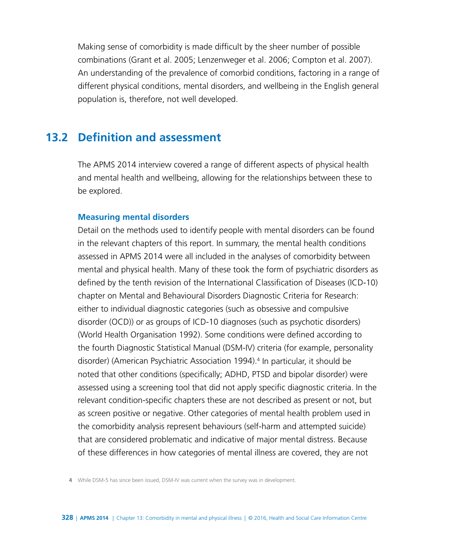Making sense of comorbidity is made difficult by the sheer number of possible combinations (Grant et al. 2005; Lenzenweger et al. 2006; Compton et al. 2007). An understanding of the prevalence of comorbid conditions, factoring in a range of different physical conditions, mental disorders, and wellbeing in the English general population is, therefore, not well developed.

# **13.2 Definition and assessment**

The APMS 2014 interview covered a range of different aspects of physical health and mental health and wellbeing, allowing for the relationships between these to be explored.

#### **Measuring mental disorders**

Detail on the methods used to identify people with mental disorders can be found in the relevant chapters of this report. In summary, the mental health conditions assessed in APMS 2014 were all included in the analyses of comorbidity between mental and physical health. Many of these took the form of psychiatric disorders as defined by the tenth revision of the International Classification of Diseases (ICD-10) chapter on Mental and Behavioural Disorders Diagnostic Criteria for Research: either to individual diagnostic categories (such as obsessive and compulsive disorder (OCD)) or as groups of ICD-10 diagnoses (such as psychotic disorders) (World Health Organisation 1992). Some conditions were defined according to the fourth Diagnostic Statistical Manual (DSM-IV) criteria (for example, personality disorder) (American Psychiatric Association 1994).<sup>4</sup> In particular, it should be noted that other conditions (specifically; ADHD, PTSD and bipolar disorder) were assessed using a screening tool that did not apply specific diagnostic criteria. In the relevant condition-specific chapters these are not described as present or not, but as screen positive or negative. Other categories of mental health problem used in the comorbidity analysis represent behaviours (self-harm and attempted suicide) that are considered problematic and indicative of major mental distress. Because of these differences in how categories of mental illness are covered, they are not

**4** While DSM-5 has since been issued, DSM-IV was current when the survey was in development.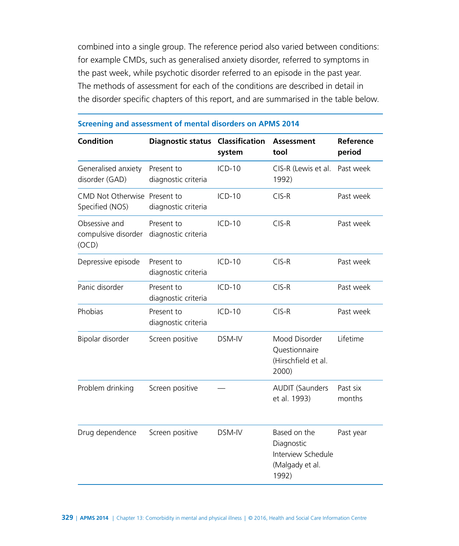combined into a single group. The reference period also varied between conditions: for example CMDs, such as generalised anxiety disorder, referred to symptoms in the past week, while psychotic disorder referred to an episode in the past year. The methods of assessment for each of the conditions are described in detail in the disorder specific chapters of this report, and are summarised in the table below.

| <b>Condition</b>                                | <b>Diagnostic status</b>          | Classification<br>system | <b>Assessment</b><br>tool                                                    | Reference<br>period |
|-------------------------------------------------|-----------------------------------|--------------------------|------------------------------------------------------------------------------|---------------------|
| Generalised anxiety<br>disorder (GAD)           | Present to<br>diagnostic criteria | $ICD-10$                 | CIS-R (Lewis et al.<br>1992)                                                 | Past week           |
| CMD Not Otherwise Present to<br>Specified (NOS) | diagnostic criteria               | $ICD-10$                 | $CIS-R$                                                                      | Past week           |
| Obsessive and<br>compulsive disorder<br>(OCD)   | Present to<br>diagnostic criteria | $ICD-10$                 | $CIS-R$                                                                      | Past week           |
| Depressive episode                              | Present to<br>diagnostic criteria | $ICD-10$                 | $CIS-R$                                                                      | Past week           |
| Panic disorder                                  | Present to<br>diagnostic criteria | $ICD-10$                 | $CIS-R$                                                                      | Past week           |
| Phobias                                         | Present to<br>diagnostic criteria | $ICD-10$                 | $CIS-R$                                                                      | Past week           |
| Bipolar disorder                                | Screen positive                   | DSM-IV                   | Mood Disorder<br>Questionnaire<br>(Hirschfield et al.<br>2000)               | Lifetime            |
| Problem drinking                                | Screen positive                   |                          | <b>AUDIT (Saunders</b><br>et al. 1993)                                       | Past six<br>months  |
| Drug dependence                                 | Screen positive                   | DSM-IV                   | Based on the<br>Diagnostic<br>Interview Schedule<br>(Malgady et al.<br>1992) | Past year           |

#### **Screening and assessment of mental disorders on APMS 2014**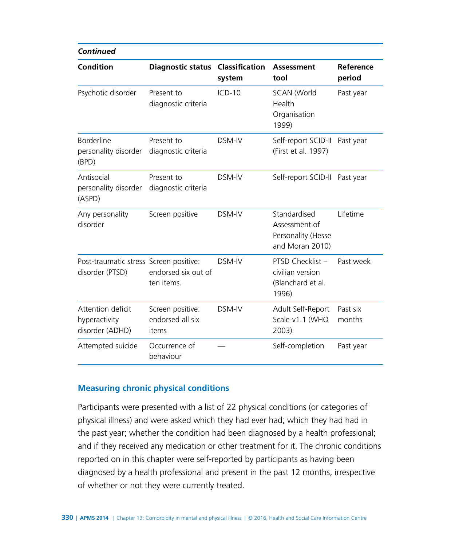| <b>Continued</b>                                          |                                               |                                 |                                                                        |                     |  |
|-----------------------------------------------------------|-----------------------------------------------|---------------------------------|------------------------------------------------------------------------|---------------------|--|
| <b>Condition</b>                                          | <b>Diagnostic status</b>                      | <b>Classification</b><br>system | <b>Assessment</b><br>tool                                              | Reference<br>period |  |
| Psychotic disorder                                        | Present to<br>diagnostic criteria             | $ICD-10$                        | <b>SCAN (World</b><br>Health<br>Organisation<br>1999)                  | Past year           |  |
| Borderline<br>personality disorder<br>(BPD)               | Present to<br>diagnostic criteria             | DSM-IV                          | Self-report SCID-II<br>(First et al. 1997)                             | Past year           |  |
| Antisocial<br>personality disorder<br>(ASPD)              | Present to<br>diagnostic criteria             | DSM-IV                          | Self-report SCID-II Past year                                          |                     |  |
| Any personality<br>disorder                               | Screen positive                               | DSM-IV                          | Standardised<br>Assessment of<br>Personality (Hesse<br>and Moran 2010) | Lifetime            |  |
| Post-traumatic stress Screen positive:<br>disorder (PTSD) | endorsed six out of<br>ten items.             | DSM-IV                          | PTSD Checklist -<br>civilian version<br>(Blanchard et al.<br>1996)     | Past week           |  |
| Attention deficit<br>hyperactivity<br>disorder (ADHD)     | Screen positive:<br>endorsed all six<br>items | DSM-IV                          | Adult Self-Report<br>Scale-v1.1 (WHO<br>2003)                          | Past six<br>months  |  |
| Attempted suicide                                         | Occurrence of<br>behaviour                    |                                 | Self-completion                                                        | Past year           |  |

#### **Measuring chronic physical conditions**

Participants were presented with a list of 22 physical conditions (or categories of physical illness) and were asked which they had ever had; which they had had in the past year; whether the condition had been diagnosed by a health professional; and if they received any medication or other treatment for it. The chronic conditions reported on in this chapter were self-reported by participants as having been diagnosed by a health professional and present in the past 12 months, irrespective of whether or not they were currently treated.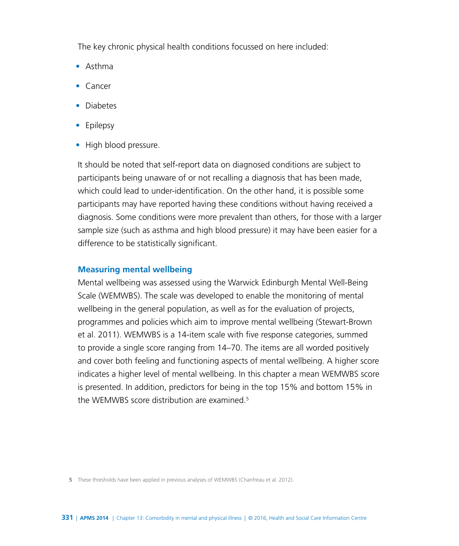The key chronic physical health conditions focussed on here included:

- Asthma
- Cancer
- Diabetes
- Epilepsy
- High blood pressure.

It should be noted that self-report data on diagnosed conditions are subject to participants being unaware of or not recalling a diagnosis that has been made, which could lead to under-identification. On the other hand, it is possible some participants may have reported having these conditions without having received a diagnosis. Some conditions were more prevalent than others, for those with a larger sample size (such as asthma and high blood pressure) it may have been easier for a difference to be statistically significant.

#### **Measuring mental wellbeing**

Mental wellbeing was assessed using the Warwick Edinburgh Mental Well-Being Scale (WEMWBS). The scale was developed to enable the monitoring of mental wellbeing in the general population, as well as for the evaluation of projects, programmes and policies which aim to improve mental wellbeing (Stewart-Brown et al. 2011). WEMWBS is a 14-item scale with five response categories, summed to provide a single score ranging from 14–70. The items are all worded positively and cover both feeling and functioning aspects of mental wellbeing. A higher score indicates a higher level of mental wellbeing. In this chapter a mean WEMWBS score is presented. In addition, predictors for being in the top 15% and bottom 15% in the WEMWBS score distribution are examined.<sup>5</sup>

**5** These thresholds have been applied in previous analyses of WEMWBS (Chanfreau et al. 2012).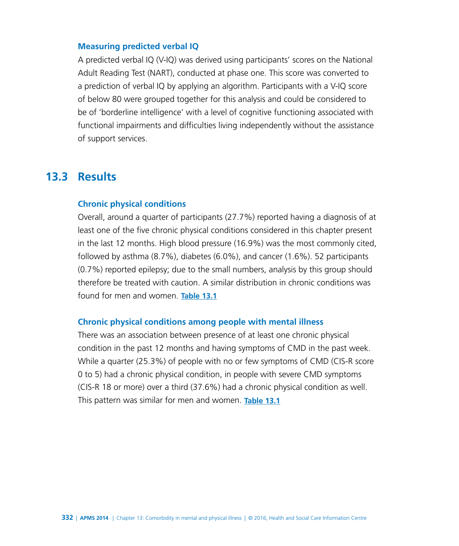#### **Measuring predicted verbal IQ**

A predicted verbal IQ (V-IQ) was derived using participants' scores on the National Adult Reading Test (NART), conducted at phase one. This score was converted to a prediction of verbal IQ by applying an algorithm. Participants with a V-IQ score of below 80 were grouped together for this analysis and could be considered to be of 'borderline intelligence' with a level of cognitive functioning associated with functional impairments and difficulties living independently without the assistance of support services.

## **13.3 Results**

#### **Chronic physical conditions**

Overall, around a quarter of participants (27.7%) reported having a diagnosis of at least one of the five chronic physical conditions considered in this chapter present in the last 12 months. High blood pressure (16.9%) was the most commonly cited, followed by asthma (8.7%), diabetes (6.0%), and cancer (1.6%). 52 participants (0.7%) reported epilepsy; due to the small numbers, analysis by this group should therefore be treated with caution. A similar distribution in chronic conditions was found for men and women. **[Table 13.1](http://www.digital.nhs.uk/catalogue/PUB21748/apms-2014-ch-13-tabs.xls)**

#### **Chronic physical conditions among people with mental illness**

There was an association between presence of at least one chronic physical condition in the past 12 months and having symptoms of CMD in the past week. While a quarter (25.3%) of people with no or few symptoms of CMD (CIS-R score 0 to 5) had a chronic physical condition, in people with severe CMD symptoms (CIS-R 18 or more) over a third (37.6%) had a chronic physical condition as well. This pattern was similar for men and women. **[Table 13.1](http://www.digital.nhs.uk/catalogue/PUB21748/apms-2014-ch-13-tabs.xls)**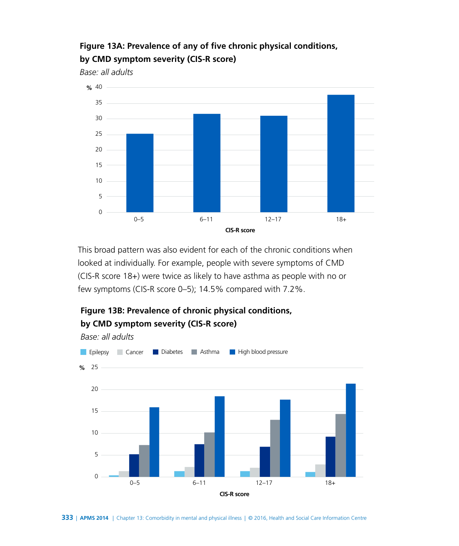## **Figure 13A: Prevalence of any of five chronic physical conditions, by CMD symptom severity (CIS-R score)**

*Base: all adults*



This broad pattern was also evident for each of the chronic conditions when looked at individually. For example, people with severe symptoms of CMD (CIS-R score 18+) were twice as likely to have asthma as people with no or few symptoms (CIS-R score 0–5); 14.5% compared with 7.2%.



## **Figure 13B: Prevalence of chronic physical conditions, by CMD symptom severity (CIS-R score)**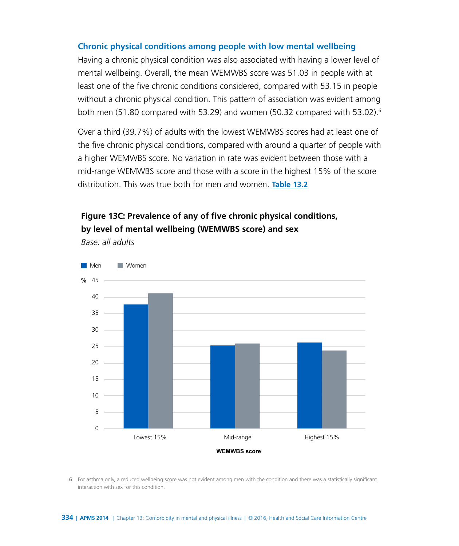#### **Chronic physical conditions among people with low mental wellbeing**

Having a chronic physical condition was also associated with having a lower level of mental wellbeing. Overall, the mean WEMWBS score was 51.03 in people with at least one of the five chronic conditions considered, compared with 53.15 in people without a chronic physical condition. This pattern of association was evident among both men  $(51.80 \text{ compared with } 53.29)$  and women  $(50.32 \text{ compared with } 53.02)$ .<sup>6</sup>

Over a third (39.7%) of adults with the lowest WEMWBS scores had at least one of the five chronic physical conditions, compared with around a quarter of people with a higher WEMWBS score. No variation in rate was evident between those with a mid-range WEMWBS score and those with a score in the highest 15% of the score distribution. This was true both for men and women. **[Table 13.2](http://www.digital.nhs.uk/catalogue/PUB21748/apms-2014-ch-13-tabs.xls)**

### **Figure 13C: Prevalence of any of five chronic physical conditions, by level of mental wellbeing (WEMWBS score) and sex**

*Base: all adults*



**6** For asthma only, a reduced wellbeing score was not evident among men with the condition and there was a statistically significant interaction with sex for this condition.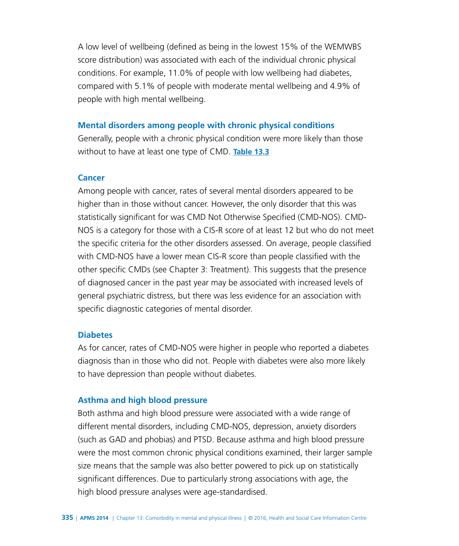A low level of wellbeing (defined as being in the lowest 15% of the WEMWBS score distribution) was associated with each of the individual chronic physical conditions. For example, 11.0% of people with low wellbeing had diabetes, compared with 5.1% of people with moderate mental wellbeing and 4.9% of people with high mental wellbeing.

#### **Mental disorders among people with chronic physical conditions**

Generally, people with a chronic physical condition were more likely than those without to have at least one type of CMD. **[Table 13.3](http://www.digital.nhs.uk/catalogue/PUB21748/apms-2014-ch-13-tabs.xls)**

#### **Cancer**

Among people with cancer, rates of several mental disorders appeared to be higher than in those without cancer. However, the only disorder that this was statistically significant for was CMD Not Otherwise Specified (CMD-NOS). CMD-NOS is a category for those with a CIS-R score of at least 12 but who do not meet the specific criteria for the other disorders assessed. On average, people classified with CMD-NOS have a lower mean CIS-R score than people classified with the other specific CMDs (see Chapter 3: Treatment). This suggests that the presence of diagnosed cancer in the past year may be associated with increased levels of general psychiatric distress, but there was less evidence for an association with specific diagnostic categories of mental disorder.

#### **Diabetes**

As for cancer, rates of CMD-NOS were higher in people who reported a diabetes diagnosis than in those who did not. People with diabetes were also more likely to have depression than people without diabetes.

#### **Asthma and high blood pressure**

Both asthma and high blood pressure were associated with a wide range of different mental disorders, including CMD-NOS, depression, anxiety disorders (such as GAD and phobias) and PTSD. Because asthma and high blood pressure were the most common chronic physical conditions examined, their larger sample size means that the sample was also better powered to pick up on statistically significant differences. Due to particularly strong associations with age, the high blood pressure analyses were age-standardised.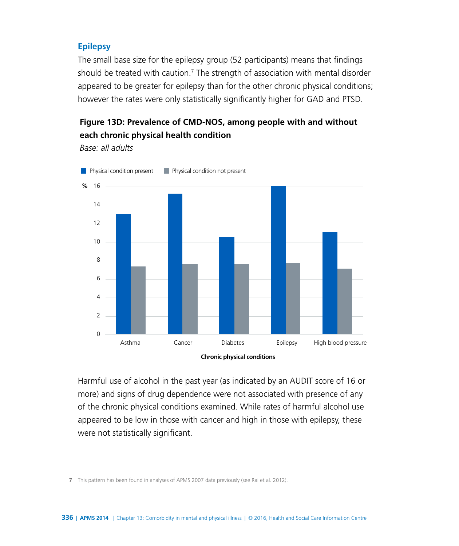#### **Epilepsy**

The small base size for the epilepsy group (52 participants) means that findings should be treated with caution.<sup>7</sup> The strength of association with mental disorder appeared to be greater for epilepsy than for the other chronic physical conditions; however the rates were only statistically significantly higher for GAD and PTSD.

### **Figure 13D: Prevalence of CMD-NOS, among people with and without each chronic physical health condition**

*Base: all adults* 



Harmful use of alcohol in the past year (as indicated by an AUDIT score of 16 or more) and signs of drug dependence were not associated with presence of any of the chronic physical conditions examined. While rates of harmful alcohol use appeared to be low in those with cancer and high in those with epilepsy, these were not statistically significant.

**7** This pattern has been found in analyses of APMS 2007 data previously (see Rai et al. 2012).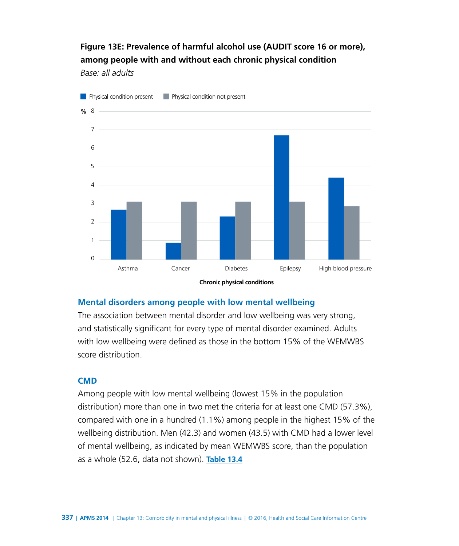### **Figure 13E: Prevalence of harmful alcohol use (AUDIT score 16 or more), among people with and without each chronic physical condition**

*Base: all adults*



**Mental disorders among people with low mental wellbeing**

The association between mental disorder and low wellbeing was very strong, and statistically significant for every type of mental disorder examined. Adults with low wellbeing were defined as those in the bottom 15% of the WEMWBS score distribution.

#### **CMD**

Among people with low mental wellbeing (lowest 15% in the population distribution) more than one in two met the criteria for at least one CMD (57.3%), compared with one in a hundred (1.1%) among people in the highest 15% of the wellbeing distribution. Men (42.3) and women (43.5) with CMD had a lower level of mental wellbeing, as indicated by mean WEMWBS score, than the population as a whole (52.6, data not shown). **[Table 13.4](http://www.digital.nhs.uk/catalogue/PUB21748/apms-2014-ch-13-tabs.xls)**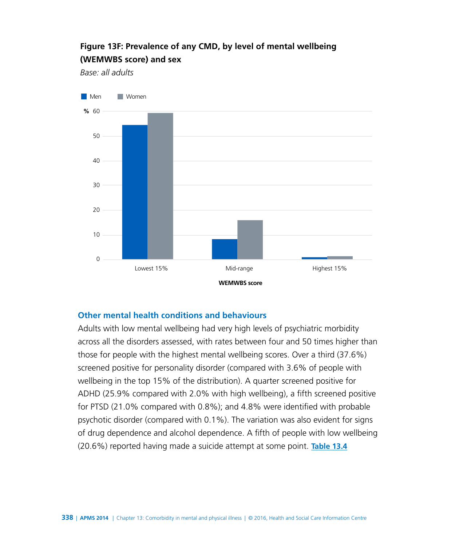# **Figure 13F: Prevalence of any CMD, by level of mental wellbeing (WEMWBS score) and sex**

*Base: all adults*



#### **Other mental health conditions and behaviours**

Adults with low mental wellbeing had very high levels of psychiatric morbidity across all the disorders assessed, with rates between four and 50 times higher than those for people with the highest mental wellbeing scores. Over a third (37.6%) screened positive for personality disorder (compared with 3.6% of people with wellbeing in the top 15% of the distribution). A quarter screened positive for ADHD (25.9% compared with 2.0% with high wellbeing), a fifth screened positive for PTSD (21.0% compared with 0.8%); and 4.8% were identified with probable psychotic disorder (compared with 0.1%). The variation was also evident for signs of drug dependence and alcohol dependence. A fifth of people with low wellbeing (20.6%) reported having made a suicide attempt at some point. **[Table 13.4](http://www.digital.nhs.uk/catalogue/PUB21748/apms-2014-ch-13-tabs.xls)**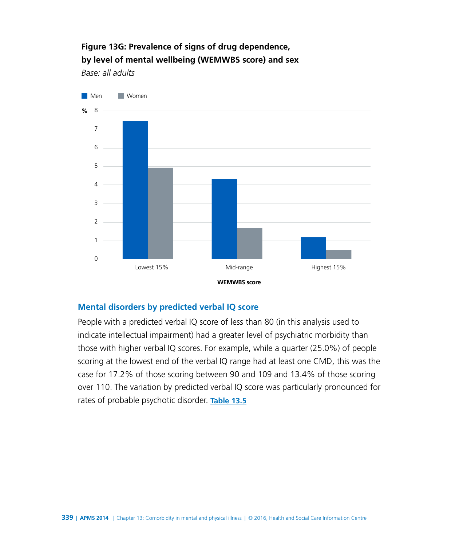# **Figure 13G: Prevalence of signs of drug dependence, by level of mental wellbeing (WEMWBS score) and sex**

*Base: all adults*



#### **Mental disorders by predicted verbal IQ score**

People with a predicted verbal IQ score of less than 80 (in this analysis used to indicate intellectual impairment) had a greater level of psychiatric morbidity than those with higher verbal IQ scores. For example, while a quarter (25.0%) of people scoring at the lowest end of the verbal IQ range had at least one CMD, this was the case for 17.2% of those scoring between 90 and 109 and 13.4% of those scoring over 110. The variation by predicted verbal IQ score was particularly pronounced for rates of probable psychotic disorder. **[Table 13.5](http://www.digital.nhs.uk/catalogue/PUB21748/apms-2014-ch-13-tabs.xls)**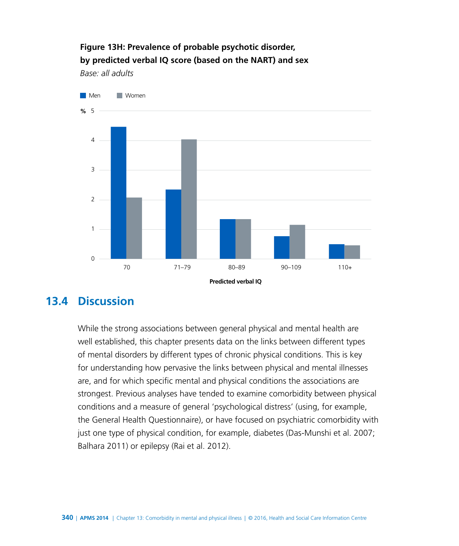### **Figure 13H: Prevalence of probable psychotic disorder, by predicted verbal IQ score (based on the NART) and sex**

*Base: all adults*



# **13.4 Discussion**

While the strong associations between general physical and mental health are well established, this chapter presents data on the links between different types of mental disorders by different types of chronic physical conditions. This is key for understanding how pervasive the links between physical and mental illnesses are, and for which specific mental and physical conditions the associations are strongest. Previous analyses have tended to examine comorbidity between physical conditions and a measure of general 'psychological distress' (using, for example, the General Health Questionnaire), or have focused on psychiatric comorbidity with just one type of physical condition, for example, diabetes (Das-Munshi et al. 2007; Balhara 2011) or epilepsy (Rai et al. 2012).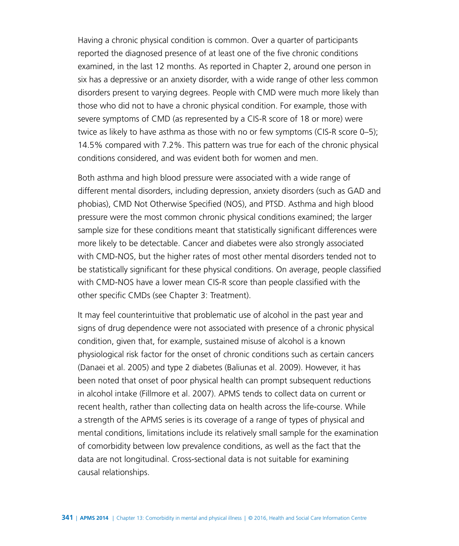Having a chronic physical condition is common. Over a quarter of participants reported the diagnosed presence of at least one of the five chronic conditions examined, in the last 12 months. As reported in Chapter 2, around one person in six has a depressive or an anxiety disorder, with a wide range of other less common disorders present to varying degrees. People with CMD were much more likely than those who did not to have a chronic physical condition. For example, those with severe symptoms of CMD (as represented by a CIS-R score of 18 or more) were twice as likely to have asthma as those with no or few symptoms (CIS-R score 0–5); 14.5% compared with 7.2%. This pattern was true for each of the chronic physical conditions considered, and was evident both for women and men.

Both asthma and high blood pressure were associated with a wide range of different mental disorders, including depression, anxiety disorders (such as GAD and phobias), CMD Not Otherwise Specified (NOS), and PTSD. Asthma and high blood pressure were the most common chronic physical conditions examined; the larger sample size for these conditions meant that statistically significant differences were more likely to be detectable. Cancer and diabetes were also strongly associated with CMD-NOS, but the higher rates of most other mental disorders tended not to be statistically significant for these physical conditions. On average, people classified with CMD-NOS have a lower mean CIS-R score than people classified with the other specific CMDs (see Chapter 3: Treatment).

It may feel counterintuitive that problematic use of alcohol in the past year and signs of drug dependence were not associated with presence of a chronic physical condition, given that, for example, sustained misuse of alcohol is a known physiological risk factor for the onset of chronic conditions such as certain cancers (Danaei et al. 2005) and type 2 diabetes (Baliunas et al. 2009). However, it has been noted that onset of poor physical health can prompt subsequent reductions in alcohol intake (Fillmore et al. 2007). APMS tends to collect data on current or recent health, rather than collecting data on health across the life-course. While a strength of the APMS series is its coverage of a range of types of physical and mental conditions, limitations include its relatively small sample for the examination of comorbidity between low prevalence conditions, as well as the fact that the data are not longitudinal. Cross-sectional data is not suitable for examining causal relationships.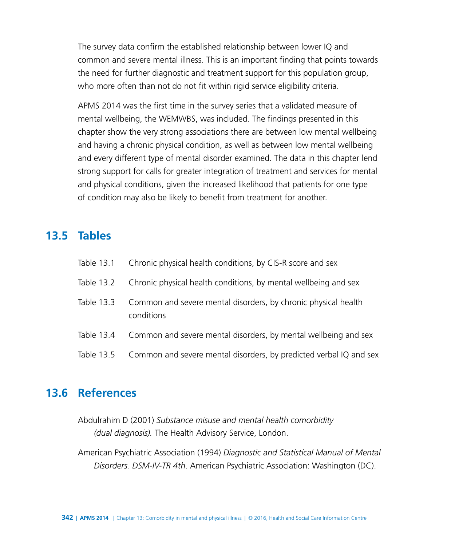The survey data confirm the established relationship between lower IQ and common and severe mental illness. This is an important finding that points towards the need for further diagnostic and treatment support for this population group, who more often than not do not fit within rigid service eligibility criteria.

APMS 2014 was the first time in the survey series that a validated measure of mental wellbeing, the WEMWBS, was included. The findings presented in this chapter show the very strong associations there are between low mental wellbeing and having a chronic physical condition, as well as between low mental wellbeing and every different type of mental disorder examined. The data in this chapter lend strong support for calls for greater integration of treatment and services for mental and physical conditions, given the increased likelihood that patients for one type of condition may also be likely to benefit from treatment for another.

# **13.5 Tables**

| Table 13.1 | Chronic physical health conditions, by CIS-R score and sex                   |
|------------|------------------------------------------------------------------------------|
| Table 13.2 | Chronic physical health conditions, by mental wellbeing and sex              |
| Table 13.3 | Common and severe mental disorders, by chronic physical health<br>conditions |
| Table 13.4 | Common and severe mental disorders, by mental wellbeing and sex              |
| Table 13.5 | Common and severe mental disorders, by predicted verbal IQ and sex           |

# **13.6 References**

Abdulrahim D (2001) *Substance misuse and mental health comorbidity (dual diagnosis).* The Health Advisory Service, London.

American Psychiatric Association (1994) *Diagnostic and Statistical Manual of Mental Disorders. DSM-IV-TR 4th*. American Psychiatric Association: Washington (DC).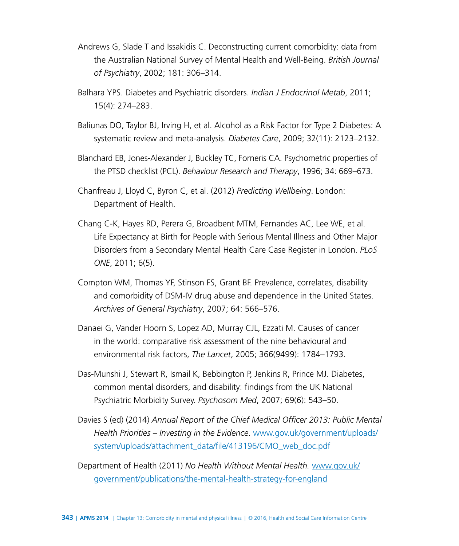- Andrews G, Slade T and Issakidis C. Deconstructing current comorbidity: data from the Australian National Survey of Mental Health and Well-Being. *British Journal of Psychiatry*, 2002; 181: 306–314.
- Balhara YPS. Diabetes and Psychiatric disorders. *Indian J Endocrinol Metab*, 2011; 15(4): 274–283.
- Baliunas DO, Taylor BJ, Irving H, et al. Alcohol as a Risk Factor for Type 2 Diabetes: A systematic review and meta-analysis. *Diabetes Care*, 2009; 32(11): 2123–2132.
- Blanchard EB, Jones-Alexander J, Buckley TC, Forneris CA. Psychometric properties of the PTSD checklist (PCL). *Behaviour Research and Therapy*, 1996; 34: 669–673.
- Chanfreau J, Lloyd C, Byron C, et al. (2012) *Predicting Wellbeing*. London: Department of Health.
- Chang C-K, Hayes RD, Perera G, Broadbent MTM, Fernandes AC, Lee WE, et al. Life Expectancy at Birth for People with Serious Mental Illness and Other Major Disorders from a Secondary Mental Health Care Case Register in London. *PLoS ONE*, 2011; 6(5).
- Compton WM, Thomas YF, Stinson FS, Grant BF. Prevalence, correlates, disability and comorbidity of DSM-IV drug abuse and dependence in the United States. *Archives of General Psychiatry*, 2007; 64: 566–576.
- Danaei G, Vander Hoorn S, Lopez AD, Murray CJL, Ezzati M. Causes of cancer in the world: comparative risk assessment of the nine behavioural and environmental risk factors, *The Lancet*, 2005; 366(9499): 1784–1793.
- Das-Munshi J, Stewart R, Ismail K, Bebbington P, Jenkins R, Prince MJ. Diabetes, common mental disorders, and disability: findings from the UK National Psychiatric Morbidity Survey. *Psychosom Med*, 2007; 69(6): 543–50.
- Davies S (ed) (2014) *Annual Report of the Chief Medical Officer 2013: Public Mental Health Priorities – Investing in the Evidence*. [www.gov.uk/government/uploads/](https://www.gov.uk/government/uploads/system/uploads/attachment_data/file/413196/CMO_web_doc.pdf) [system/uploads/attachment\\_data/file/413196/CMO\\_web\\_doc.pdf](https://www.gov.uk/government/uploads/system/uploads/attachment_data/file/413196/CMO_web_doc.pdf)
- Department of Health (2011) *No Health Without Mental Health.* [www.gov.uk/](https://www.gov.uk/government/publications/the-mental-health-strategy-for-england) [government/publications/the-mental-health-strategy-for-england](https://www.gov.uk/government/publications/the-mental-health-strategy-for-england)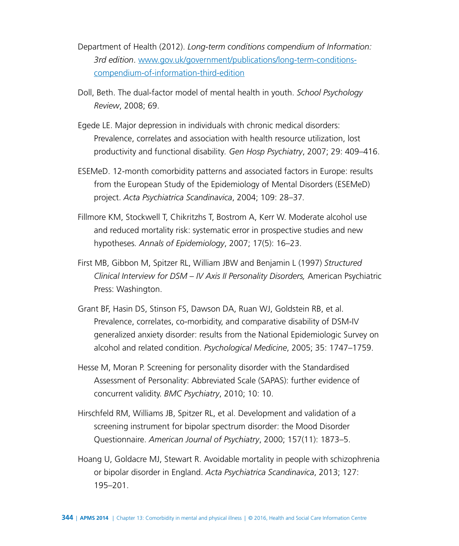- Department of Health (2012). *[Long-term conditions compendium of Information:](http://www.dh.gov.uk/en/Publicationsandstatistics/Publications/PublicationsPolicyAndGuidance/DH_134487)  [3rd edition](http://www.dh.gov.uk/en/Publicationsandstatistics/Publications/PublicationsPolicyAndGuidance/DH_134487)*. [www.gov.uk/government/publications/long-term-conditions](https://www.gov.uk/government/publications/long-term-conditions-compendium-of-information-third-edition)[compendium-of-information-third-edition](https://www.gov.uk/government/publications/long-term-conditions-compendium-of-information-third-edition)
- Doll, Beth. The dual-factor model of mental health in youth. *School Psychology Review*, 2008; 69.
- Egede LE. Major depression in individuals with chronic medical disorders: Prevalence, correlates and association with health resource utilization, lost productivity and functional disability*. Gen Hosp Psychiatry*, 2007; 29: 409–416.
- ESEMeD. 12-month comorbidity patterns and associated factors in Europe: results from the European Study of the Epidemiology of Mental Disorders (ESEMeD) project. *Acta Psychiatrica Scandinavica*, 2004; 109: 28–37*.*
- Fillmore KM, Stockwell T, Chikritzhs T, Bostrom A, Kerr W. Moderate alcohol use and reduced mortality risk: systematic error in prospective studies and new hypotheses*. Annals of Epidemiology*, 2007; 17(5): 16–23.
- First MB, Gibbon M, Spitzer RL, William JBW and Benjamin L (1997) *Structured Clinical Interview for DSM – IV Axis II Personality Disorders,* American Psychiatric Press: Washington.
- Grant BF, Hasin DS, Stinson FS, Dawson DA, Ruan WJ, Goldstein RB, et al. Prevalence, correlates, co-morbidity, and comparative disability of DSM-IV generalized anxiety disorder: results from the National Epidemiologic Survey on alcohol and related condition. *Psychological Medicine*, 2005; 35: 1747–1759.
- Hesse M, Moran P. Screening for personality disorder with the Standardised Assessment of Personality: Abbreviated Scale (SAPAS): further evidence of concurrent validity. *BMC Psychiatry*, 2010; 10: 10.
- Hirschfeld RM, Williams JB, Spitzer RL, et al. Development and validation of a screening instrument for bipolar spectrum disorder: the Mood Disorder Questionnaire. *American Journal of Psychiatry*, 2000; 157(11): 1873–5.
- Hoang U, Goldacre MJ, Stewart R. Avoidable mortality in people with schizophrenia or bipolar disorder in England. *Acta Psychiatrica Scandinavica*, 2013; 127: 195–201.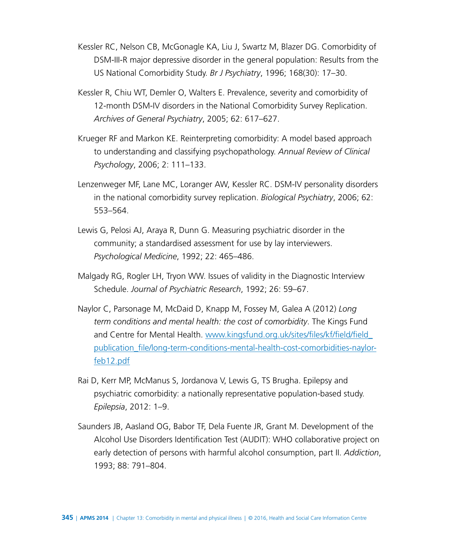- Kessler RC, Nelson CB, McGonagle KA, Liu J, Swartz M, Blazer DG. Comorbidity of DSM-III-R major depressive disorder in the general population: Results from the US National Comorbidity Study. *Br J Psychiatry*, 1996; 168(30): 17–30.
- Kessler R, Chiu WT, Demler O, Walters E. Prevalence, severity and comorbidity of 12-month DSM-IV disorders in the National Comorbidity Survey Replication. *Archives of General Psychiatry*, 2005; 62: 617–627.
- Krueger RF and Markon KE. Reinterpreting comorbidity: A model based approach to understanding and classifying psychopathology. *Annual Review of Clinical Psychology*, 2006; 2: 111–133.
- Lenzenweger MF, Lane MC, Loranger AW, Kessler RC. DSM-IV personality disorders in the national comorbidity survey replication. *Biological Psychiatry*, 2006; 62: 553–564.
- Lewis G, Pelosi AJ, Araya R, Dunn G. Measuring psychiatric disorder in the community; a standardised assessment for use by lay interviewers. *Psychological Medicine*, 1992; 22: 465–486.
- Malgady RG, Rogler LH, Tryon WW. Issues of validity in the Diagnostic Interview Schedule. *Journal of Psychiatric Research*, 1992; 26: 59–67.
- Naylor C, Parsonage M, McDaid D, Knapp M, Fossey M, Galea A (2012) *Long term conditions and mental health: the cost of comorbidity*. The Kings Fund and Centre for Mental Health. [www.kingsfund.org.uk/sites/files/kf/field/field\\_](http://www.kingsfund.org.uk/sites/files/kf/field/field_publication_file/long-term-conditions-mental-health-cost-comorbidities-naylor-feb12.pdf) [publication\\_file/long-term-conditions-mental-health-cost-comorbidities-naylor](http://www.kingsfund.org.uk/sites/files/kf/field/field_publication_file/long-term-conditions-mental-health-cost-comorbidities-naylor-feb12.pdf)[feb12.pdf](http://www.kingsfund.org.uk/sites/files/kf/field/field_publication_file/long-term-conditions-mental-health-cost-comorbidities-naylor-feb12.pdf)
- Rai D, Kerr MP, McManus S, Jordanova V, Lewis G, TS Brugha. Epilepsy and psychiatric comorbidity: a nationally representative population-based study. *Epilepsia*, 2012: 1–9.
- Saunders JB, Aasland OG, Babor TF, Dela Fuente JR, Grant M. Development of the Alcohol Use Disorders Identification Test (AUDIT): WHO collaborative project on early detection of persons with harmful alcohol consumption, part II. *Addiction*, 1993; 88: 791–804.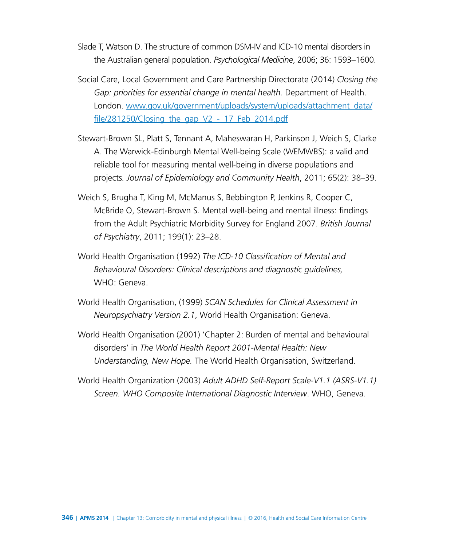Slade T, Watson D. The structure of common DSM-IV and ICD-10 mental disorders in the Australian general population. *Psychological Medicine*, 2006; 36: 1593–1600.

- Social Care, Local Government and Care Partnership Directorate (2014) *Closing the Gap: priorities for essential change in mental health.* Department of Health. London. [www.gov.uk/government/uploads/system/uploads/attachment\\_data/](https://www.gov.uk/government/uploads/system/uploads/attachment_data/file/281250/Closing_the_gap_V2_-_17_Feb_2014.pdf) file/281250/Closing the gap  $V2 - 17$  Feb 2014.pdf
- Stewart-Brown SL, Platt S, Tennant A, Maheswaran H, Parkinson J, Weich S, Clarke A. The Warwick-Edinburgh Mental Well-being Scale (WEMWBS): a valid and reliable tool for measuring mental well-being in diverse populations and projects*. Journal of Epidemiology and Community Health*, 2011; 65(2): 38–39.
- Weich S, Brugha T, King M, McManus S, Bebbington P, Jenkins R, Cooper C, McBride O, Stewart-Brown S. Mental well-being and mental illness: findings from the Adult Psychiatric Morbidity Survey for England 2007. *British Journal of Psychiatry*, 2011; 199(1): 23–28.
- World Health Organisation (1992) *The ICD-10 Classification of Mental and Behavioural Disorders: Clinical descriptions and diagnostic guidelines,*  WHO: Geneva.
- World Health Organisation, (1999) *SCAN Schedules for Clinical Assessment in Neuropsychiatry Version 2.1*, World Health Organisation: Geneva.
- World Health Organisation (2001) 'Chapter 2: Burden of mental and behavioural disorders' in *The World Health Report 2001-Mental Health: New Understanding, New Hope.* The World Health Organisation, Switzerland.
- World Health Organization (2003) *Adult ADHD Self-Report Scale-V1.1 (ASRS-V1.1) Screen. WHO Composite International Diagnostic Interview*. WHO, Geneva.